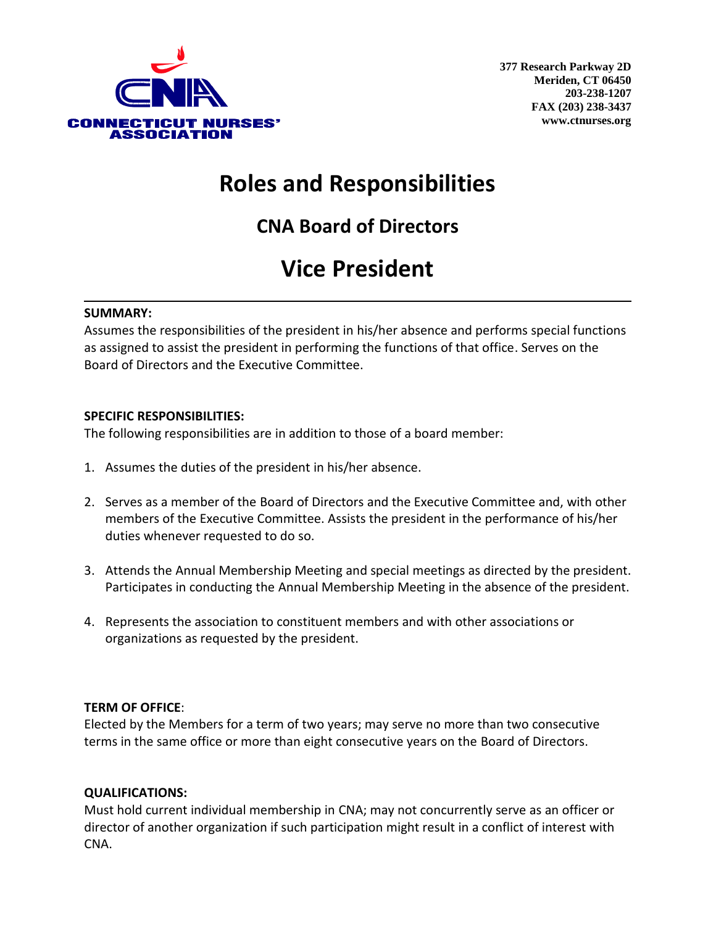

## **Roles and Responsibilities**

**CNA Board of Directors** 

# **Vice President**

### **SUMMARY:**

Assumes the responsibilities of the president in his/her absence and performs special functions as assigned to assist the president in performing the functions of that office. Serves on the Board of Directors and the Executive Committee.

### **SPECIFIC RESPONSIBILITIES:**

The following responsibilities are in addition to those of a board member:

- 1. Assumes the duties of the president in his/her absence.
- 2. Serves as a member of the Board of Directors and the Executive Committee and, with other members of the Executive Committee. Assists the president in the performance of his/her duties whenever requested to do so.
- 3. Attends the Annual Membership Meeting and special meetings as directed by the president. Participates in conducting the Annual Membership Meeting in the absence of the president.
- 4. Represents the association to constituent members and with other associations or organizations as requested by the president.

### **TERM OF OFFICE**:

Elected by the Members for a term of two years; may serve no more than two consecutive terms in the same office or more than eight consecutive years on the Board of Directors.

### **QUALIFICATIONS:**

Must hold current individual membership in CNA; may not concurrently serve as an officer or director of another organization if such participation might result in a conflict of interest with CNA.